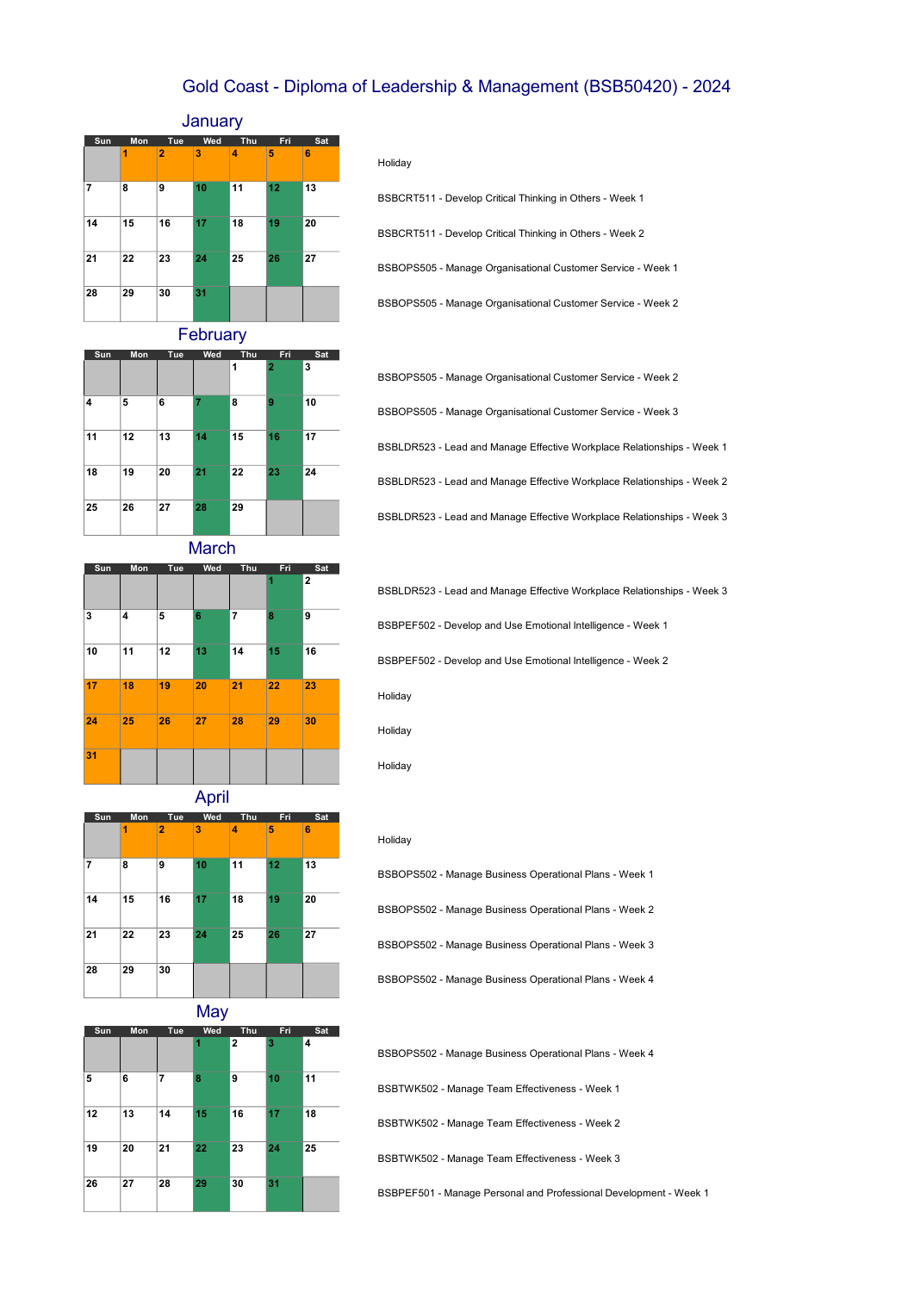## Gold Coast - Diploma of Leadership & Management (BSB50420) - 2024

## **January**



Holiday

BSBOPS505 - Manage Organisational Customer Service - Week 2 BSBCRT511 - Develop Critical Thinking in Others - Week 1 BSBCRT511 - Develop Critical Thinking in Others - Week 2 BSBOPS505 - Manage Organisational Customer Service - Week 1

**February** 

| Sun | Mon | Tue | Wed | Thu | Fri            | Sat |
|-----|-----|-----|-----|-----|----------------|-----|
|     |     |     |     | 1   | $\overline{2}$ | 3   |
| 4   | 5   | 6   | 7   | 8   | 9              | 10  |
| 11  | 12  | 13  | 14  | 15  | 16             | 17  |
| 18  | 19  | 20  | 21  | 22  | 23             | 24  |
| 25  | 26  | 27  | 28  | 29  |                |     |

| BSBOPS505 - Manage Organisational Customer Service - Week 2            |
|------------------------------------------------------------------------|
| BSBOPS505 - Manage Organisational Customer Service - Week 3            |
| BSBLDR523 - Lead and Manage Effective Workplace Relationships - Week 1 |
| BSBLDR523 - Lead and Manage Effective Workplace Relationships - Week 2 |
| BSBLDR523 - Lead and Manage Effective Workplace Relationships - Week 3 |

**March** 



| BSBLDR523 - Lead and Manage Effective Workplace Relationships - Week 3 |
|------------------------------------------------------------------------|
| BSBPEF502 - Develop and Use Emotional Intelligence - Week 1            |
| BSBPEF502 - Develop and Use Emotional Intelligence - Week 2            |
| Holiday                                                                |

Holiday

Holiday



**May** 



Holiday

BSBOPS502 - Manage Business Operational Plans - Week 3 BSBOPS502 - Manage Business Operational Plans - Week 4 BSBOPS502 - Manage Business Operational Plans - Week 1 BSBOPS502 - Manage Business Operational Plans - Week 2

BSBTWK502 - Manage Team Effectiveness - Week 3 BSBOPS502 - Manage Business Operational Plans - Week 4 BSBTWK502 - Manage Team Effectiveness - Week 1 BSBTWK502 - Manage Team Effectiveness - Week 2

BSBPEF501 - Manage Personal and Professional Development - Week 1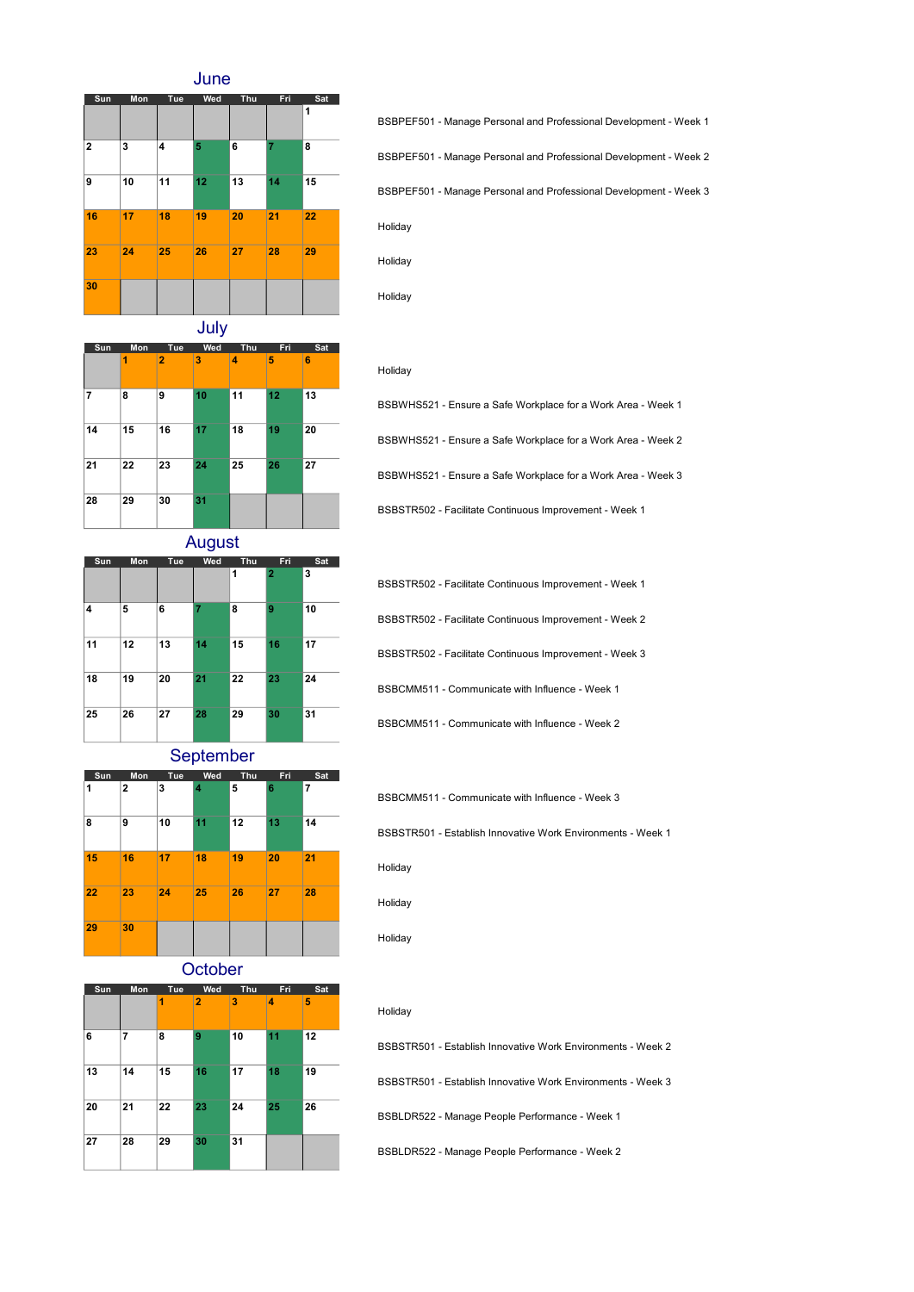June



Holiday BSBPEF501 - Manage Personal and Professional Development - Week 1 BSBPEF501 - Manage Personal and Professional Development - Week 2 BSBPEF501 - Manage Personal and Professional Development - Week 3

July

| Sun | Mon | Tue            | Wed | Thu | Fri | Sat |
|-----|-----|----------------|-----|-----|-----|-----|
|     | 1   | $\overline{2}$ | 3   | 4   | 5   | 6   |
| 7   | 8   | 9              | 10  | 11  | 12  | 13  |
| 14  | 15  | 16             | 17  | 18  | 19  | 20  |
| 21  | 22  | 23             | 24  | 25  | 26  | 27  |
| 28  | 29  | 30             | 31  |     |     |     |

BSBWHS521 - Ensure a Safe Workplace for a Work Area - Week 2 BSBWHS521 - Ensure a Safe Workplace for a Work Area - Week 3 BSBSTR502 - Facilitate Continuous Improvement - Week 1 BSBWHS521 - Ensure a Safe Workplace for a Work Area - Week 1

August

| Sun | Mon | Tue | Wed | Thu | Fri.           | Sat |
|-----|-----|-----|-----|-----|----------------|-----|
|     |     |     |     | 1   | $\overline{2}$ | 3   |
| 4   | 5   | 6   | 7   | 8   | 9              | 10  |
| 11  | 12  | 13  | 14  | 15  | 16             | 17  |
| 18  | 19  | 20  | 21  | 22  | 23             | 24  |
| 25  | 26  | 27  | 28  | 29  | 30             | 31  |

BSBSTR502 - Facilitate Continuous Improvement - Week 3 BSBCMM511 - Communicate with Influence - Week 1 BSBCMM511 - Communicate with Influence - Week 2 BSBSTR502 - Facilitate Continuous Improvement - Week 1 BSBSTR502 - Facilitate Continuous Improvement - Week 2

September



BSBCMM511 - Communicate with Influence - Week 3

BSBSTR501 - Establish Innovative Work Environments - Week 1

Holiday

Holiday

Holiday

Holiday

Holiday

Holiday

Holiday

**October** 

| Sun | Mon | Tue | Wed            | Thu | Fri | Sat |
|-----|-----|-----|----------------|-----|-----|-----|
|     |     | 1   | $\overline{2}$ | 3   | 4   | 5   |
| 6   | 7   | 8   | 9              | 10  | 11  | 12  |
| 13  | 14  | 15  | 16             | 17  | 18  | 19  |
| 20  | 21  | 22  | 23             | 24  | 25  | 26  |
| 27  | 28  | 29  | 30             | 31  |     |     |

| BSBSTR501 - Establish Innovative Work Environments - Week 2        |
|--------------------------------------------------------------------|
| <b>BSBSTR501 - Establish Innovative Work Environments - Week 3</b> |
| BSBLDR522 - Manage People Performance - Week 1                     |
| BSBLDR522 - Manage People Performance - Week 2                     |